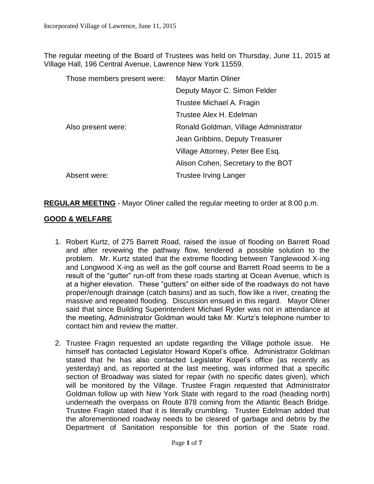The regular meeting of the Board of Trustees was held on Thursday, June 11, 2015 at Village Hall, 196 Central Avenue, Lawrence New York 11559.

| Those members present were: | <b>Mayor Martin Oliner</b>            |
|-----------------------------|---------------------------------------|
|                             | Deputy Mayor C. Simon Felder          |
|                             | Trustee Michael A. Fragin             |
|                             | Trustee Alex H. Edelman               |
| Also present were:          | Ronald Goldman, Village Administrator |
|                             | Jean Gribbins, Deputy Treasurer       |
|                             | Village Attorney, Peter Bee Esq.      |
|                             | Alison Cohen, Secretary to the BOT    |
| Absent were:                | <b>Trustee Irving Langer</b>          |

**REGULAR MEETING** - Mayor Oliner called the regular meeting to order at 8:00 p.m.

# **GOOD & WELFARE**

- 1. Robert Kurtz, of 275 Barrett Road, raised the issue of flooding on Barrett Road and after reviewing the pathway flow, tendered a possible solution to the problem. Mr. Kurtz stated that the extreme flooding between Tanglewood X-ing and Longwood X-ing as well as the golf course and Barrett Road seems to be a result of the "gutter" run-off from these roads starting at Ocean Avenue, which is at a higher elevation. These "gutters" on either side of the roadways do not have proper/enough drainage (catch basins) and as such, flow like a river, creating the massive and repeated flooding. Discussion ensued in this regard. Mayor Oliner said that since Building Superintendent Michael Ryder was not in attendance at the meeting, Administrator Goldman would take Mr. Kurtz's telephone number to contact him and review the matter.
- 2. Trustee Fragin requested an update regarding the Village pothole issue. He himself has contacted Legislator Howard Kopel's office. Administrator Goldman stated that he has also contacted Legislator Kopel's office (as recently as yesterday) and, as reported at the last meeting, was informed that a specific section of Broadway was slated for repair (with no specific dates given), which will be monitored by the Village. Trustee Fragin requested that Administrator Goldman follow up with New York State with regard to the road (heading north) underneath the overpass on Route 878 coming from the Atlantic Beach Bridge. Trustee Fragin stated that it is literally crumbling. Trustee Edelman added that the aforementioned roadway needs to be cleared of garbage and debris by the Department of Sanitation responsible for this portion of the State road.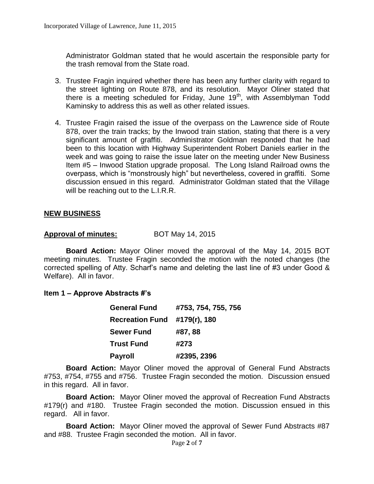Administrator Goldman stated that he would ascertain the responsible party for the trash removal from the State road.

- 3. Trustee Fragin inquired whether there has been any further clarity with regard to the street lighting on Route 878, and its resolution. Mayor Oliner stated that there is a meeting scheduled for Friday, June 19<sup>th</sup>, with Assemblyman Todd Kaminsky to address this as well as other related issues.
- 4. Trustee Fragin raised the issue of the overpass on the Lawrence side of Route 878, over the train tracks; by the Inwood train station, stating that there is a very significant amount of graffiti. Administrator Goldman responded that he had been to this location with Highway Superintendent Robert Daniels earlier in the week and was going to raise the issue later on the meeting under New Business Item #5 – Inwood Station upgrade proposal. The Long Island Railroad owns the overpass, which is "monstrously high" but nevertheless, covered in graffiti. Some discussion ensued in this regard. Administrator Goldman stated that the Village will be reaching out to the L.I.R.R.

#### **NEW BUSINESS**

#### **Approval of minutes:** BOT May 14, 2015

**Board Action:** Mayor Oliner moved the approval of the May 14, 2015 BOT meeting minutes. Trustee Fragin seconded the motion with the noted changes (the corrected spelling of Atty. Scharf's name and deleting the last line of #3 under Good & Welfare). All in favor.

#### **Item 1 – Approve Abstracts #'s**

| <b>General Fund</b>    | #753, 754, 755, 756 |
|------------------------|---------------------|
| <b>Recreation Fund</b> | #179(r), 180        |
| <b>Sewer Fund</b>      | #87,88              |
| <b>Trust Fund</b>      | #273                |
| <b>Payroll</b>         | #2395, 2396         |

**Board Action:** Mayor Oliner moved the approval of General Fund Abstracts #753, #754, #755 and #756. Trustee Fragin seconded the motion. Discussion ensued in this regard. All in favor.

**Board Action:** Mayor Oliner moved the approval of Recreation Fund Abstracts #179(r) and #180. Trustee Fragin seconded the motion. Discussion ensued in this regard. All in favor.

**Board Action:** Mayor Oliner moved the approval of Sewer Fund Abstracts #87 and #88. Trustee Fragin seconded the motion. All in favor.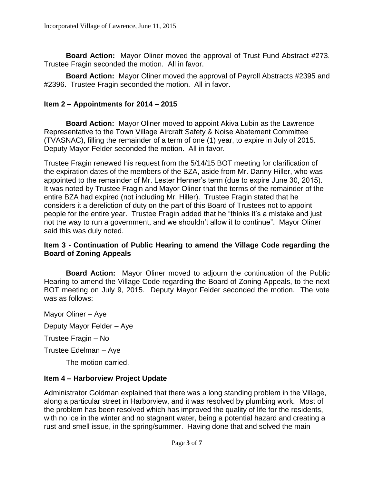**Board Action:** Mayor Oliner moved the approval of Trust Fund Abstract #273. Trustee Fragin seconded the motion. All in favor.

**Board Action:** Mayor Oliner moved the approval of Payroll Abstracts #2395 and #2396. Trustee Fragin seconded the motion. All in favor.

## **Item 2 – Appointments for 2014 – 2015**

**Board Action:** Mayor Oliner moved to appoint Akiva Lubin as the Lawrence Representative to the Town Village Aircraft Safety & Noise Abatement Committee (TVASNAC), filling the remainder of a term of one (1) year, to expire in July of 2015. Deputy Mayor Felder seconded the motion. All in favor.

Trustee Fragin renewed his request from the 5/14/15 BOT meeting for clarification of the expiration dates of the members of the BZA, aside from Mr. Danny Hiller, who was appointed to the remainder of Mr. Lester Henner's term (due to expire June 30, 2015). It was noted by Trustee Fragin and Mayor Oliner that the terms of the remainder of the entire BZA had expired (not including Mr. Hiller). Trustee Fragin stated that he considers it a dereliction of duty on the part of this Board of Trustees not to appoint people for the entire year. Trustee Fragin added that he "thinks it's a mistake and just not the way to run a government, and we shouldn't allow it to continue". Mayor Oliner said this was duly noted.

### **Item 3 - Continuation of Public Hearing to amend the Village Code regarding the Board of Zoning Appeals**

**Board Action:** Mayor Oliner moved to adjourn the continuation of the Public Hearing to amend the Village Code regarding the Board of Zoning Appeals, to the next BOT meeting on July 9, 2015. Deputy Mayor Felder seconded the motion. The vote was as follows:

Mayor Oliner – Aye

Deputy Mayor Felder – Aye

Trustee Fragin – No

Trustee Edelman – Aye

The motion carried.

### **Item 4 – Harborview Project Update**

Administrator Goldman explained that there was a long standing problem in the Village, along a particular street in Harborview, and it was resolved by plumbing work. Most of the problem has been resolved which has improved the quality of life for the residents, with no ice in the winter and no stagnant water, being a potential hazard and creating a rust and smell issue, in the spring/summer. Having done that and solved the main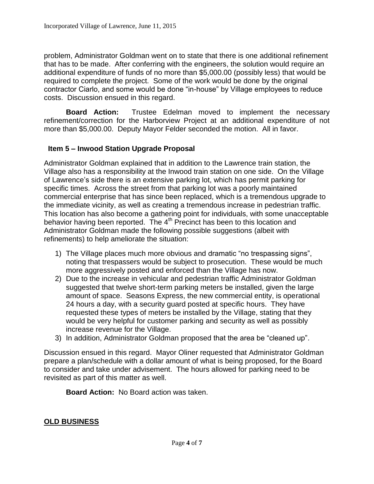problem, Administrator Goldman went on to state that there is one additional refinement that has to be made. After conferring with the engineers, the solution would require an additional expenditure of funds of no more than \$5,000.00 (possibly less) that would be required to complete the project. Some of the work would be done by the original contractor Ciarlo, and some would be done "in-house" by Village employees to reduce costs. Discussion ensued in this regard.

**Board Action:** Trustee Edelman moved to implement the necessary refinement/correction for the Harborview Project at an additional expenditure of not more than \$5,000.00. Deputy Mayor Felder seconded the motion. All in favor.

# **Item 5 – Inwood Station Upgrade Proposal**

Administrator Goldman explained that in addition to the Lawrence train station, the Village also has a responsibility at the Inwood train station on one side. On the Village of Lawrence's side there is an extensive parking lot, which has permit parking for specific times. Across the street from that parking lot was a poorly maintained commercial enterprise that has since been replaced, which is a tremendous upgrade to the immediate vicinity, as well as creating a tremendous increase in pedestrian traffic. This location has also become a gathering point for individuals, with some unacceptable behavior having been reported. The  $4<sup>th</sup>$  Precinct has been to this location and Administrator Goldman made the following possible suggestions (albeit with refinements) to help ameliorate the situation:

- 1) The Village places much more obvious and dramatic "no trespassing signs", noting that trespassers would be subject to prosecution. These would be much more aggressively posted and enforced than the Village has now.
- 2) Due to the increase in vehicular and pedestrian traffic Administrator Goldman suggested that twelve short-term parking meters be installed, given the large amount of space. Seasons Express, the new commercial entity, is operational 24 hours a day, with a security guard posted at specific hours. They have requested these types of meters be installed by the Village, stating that they would be very helpful for customer parking and security as well as possibly increase revenue for the Village.
- 3) In addition, Administrator Goldman proposed that the area be "cleaned up".

Discussion ensued in this regard. Mayor Oliner requested that Administrator Goldman prepare a plan/schedule with a dollar amount of what is being proposed, for the Board to consider and take under advisement. The hours allowed for parking need to be revisited as part of this matter as well.

**Board Action:** No Board action was taken.

### **OLD BUSINESS**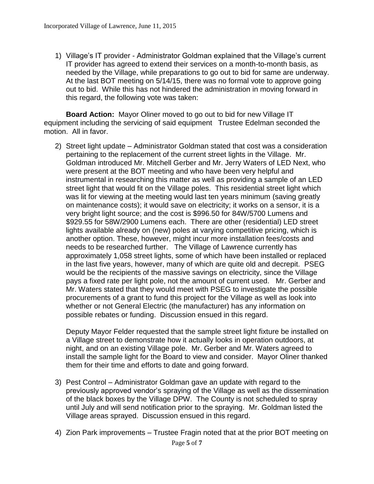1) Village's IT provider - Administrator Goldman explained that the Village's current IT provider has agreed to extend their services on a month-to-month basis, as needed by the Village, while preparations to go out to bid for same are underway. At the last BOT meeting on 5/14/15, there was no formal vote to approve going out to bid. While this has not hindered the administration in moving forward in this regard, the following vote was taken:

**Board Action:** Mayor Oliner moved to go out to bid for new Village IT equipment including the servicing of said equipment Trustee Edelman seconded the motion. All in favor.

2) Street light update – Administrator Goldman stated that cost was a consideration pertaining to the replacement of the current street lights in the Village. Mr. Goldman introduced Mr. Mitchell Gerber and Mr. Jerry Waters of LED Next, who were present at the BOT meeting and who have been very helpful and instrumental in researching this matter as well as providing a sample of an LED street light that would fit on the Village poles. This residential street light which was lit for viewing at the meeting would last ten years minimum (saving greatly on maintenance costs); it would save on electricity; it works on a sensor, it is a very bright light source; and the cost is \$996.50 for 84W/5700 Lumens and \$929.55 for 58W/2900 Lumens each. There are other (residential) LED street lights available already on (new) poles at varying competitive pricing, which is another option. These, however, might incur more installation fees/costs and needs to be researched further. The Village of Lawrence currently has approximately 1,058 street lights, some of which have been installed or replaced in the last five years, however, many of which are quite old and decrepit. PSEG would be the recipients of the massive savings on electricity, since the Village pays a fixed rate per light pole, not the amount of current used. Mr. Gerber and Mr. Waters stated that they would meet with PSEG to investigate the possible procurements of a grant to fund this project for the Village as well as look into whether or not General Electric (the manufacturer) has any information on possible rebates or funding. Discussion ensued in this regard.

Deputy Mayor Felder requested that the sample street light fixture be installed on a Village street to demonstrate how it actually looks in operation outdoors, at night, and on an existing Village pole. Mr. Gerber and Mr. Waters agreed to install the sample light for the Board to view and consider. Mayor Oliner thanked them for their time and efforts to date and going forward.

- 3) Pest Control Administrator Goldman gave an update with regard to the previously approved vendor's spraying of the Village as well as the dissemination of the black boxes by the Village DPW. The County is not scheduled to spray until July and will send notification prior to the spraying. Mr. Goldman listed the Village areas sprayed. Discussion ensued in this regard.
- Page **5** of **7** 4) Zion Park improvements – Trustee Fragin noted that at the prior BOT meeting on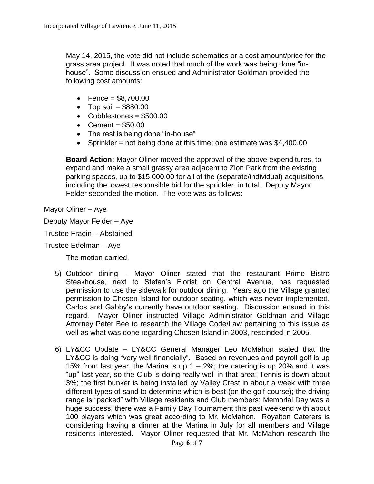May 14, 2015, the vote did not include schematics or a cost amount/price for the grass area project. It was noted that much of the work was being done "inhouse". Some discussion ensued and Administrator Goldman provided the following cost amounts:

- $\bullet$  Fence = \$8.700.00
- $\bullet$  Top soil = \$880.00
- $\bullet$  Cobblestones = \$500.00
- $\textdegree$  Cement = \$50.00
- The rest is being done "in-house"
- Sprinkler = not being done at this time; one estimate was  $$4,400.00$

**Board Action:** Mayor Oliner moved the approval of the above expenditures, to expand and make a small grassy area adjacent to Zion Park from the existing parking spaces, up to \$15,000.00 for all of the (separate/individual) acquisitions, including the lowest responsible bid for the sprinkler, in total. Deputy Mayor Felder seconded the motion. The vote was as follows:

Mayor Oliner – Aye

Deputy Mayor Felder – Aye

Trustee Fragin – Abstained

Trustee Edelman – Aye

The motion carried.

- 5) Outdoor dining Mayor Oliner stated that the restaurant Prime Bistro Steakhouse, next to Stefan's Florist on Central Avenue, has requested permission to use the sidewalk for outdoor dining. Years ago the Village granted permission to Chosen Island for outdoor seating, which was never implemented. Carlos and Gabby's currently have outdoor seating. Discussion ensued in this regard. Mayor Oliner instructed Village Administrator Goldman and Village Attorney Peter Bee to research the Village Code/Law pertaining to this issue as well as what was done regarding Chosen Island in 2003, rescinded in 2005.
- 6) LY&CC Update LY&CC General Manager Leo McMahon stated that the LY&CC is doing "very well financially". Based on revenues and payroll golf is up 15% from last year, the Marina is up  $1 - 2\%$ ; the catering is up 20% and it was "up" last year, so the Club is doing really well in that area; Tennis is down about 3%; the first bunker is being installed by Valley Crest in about a week with three different types of sand to determine which is best (on the golf course); the driving range is "packed" with Village residents and Club members; Memorial Day was a huge success; there was a Family Day Tournament this past weekend with about 100 players which was great according to Mr. McMahon. Royalton Caterers is considering having a dinner at the Marina in July for all members and Village residents interested. Mayor Oliner requested that Mr. McMahon research the